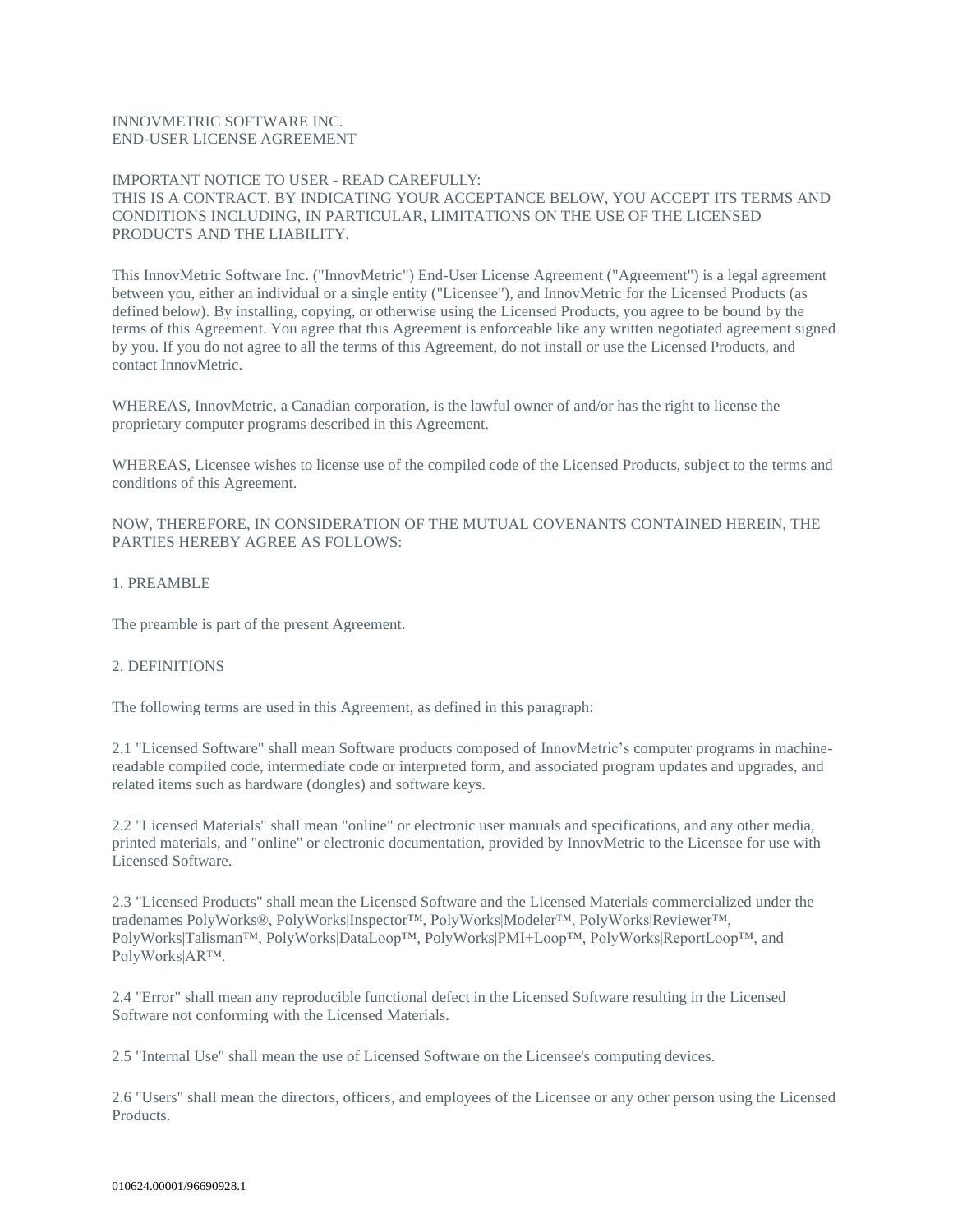### INNOVMETRIC SOFTWARE INC. END-USER LICENSE AGREEMENT

# IMPORTANT NOTICE TO USER - READ CAREFULLY: THIS IS A CONTRACT. BY INDICATING YOUR ACCEPTANCE BELOW, YOU ACCEPT ITS TERMS AND CONDITIONS INCLUDING, IN PARTICULAR, LIMITATIONS ON THE USE OF THE LICENSED PRODUCTS AND THE LIABILITY.

This InnovMetric Software Inc. ("InnovMetric") End-User License Agreement ("Agreement") is a legal agreement between you, either an individual or a single entity ("Licensee"), and InnovMetric for the Licensed Products (as defined below). By installing, copying, or otherwise using the Licensed Products, you agree to be bound by the terms of this Agreement. You agree that this Agreement is enforceable like any written negotiated agreement signed by you. If you do not agree to all the terms of this Agreement, do not install or use the Licensed Products, and contact InnovMetric.

WHEREAS, InnovMetric, a Canadian corporation, is the lawful owner of and/or has the right to license the proprietary computer programs described in this Agreement.

WHEREAS, Licensee wishes to license use of the compiled code of the Licensed Products, subject to the terms and conditions of this Agreement.

NOW, THEREFORE, IN CONSIDERATION OF THE MUTUAL COVENANTS CONTAINED HEREIN, THE PARTIES HEREBY AGREE AS FOLLOWS:

### 1. PREAMBLE

The preamble is part of the present Agreement.

# 2. DEFINITIONS

The following terms are used in this Agreement, as defined in this paragraph:

2.1 "Licensed Software" shall mean Software products composed of InnovMetric's computer programs in machinereadable compiled code, intermediate code or interpreted form, and associated program updates and upgrades, and related items such as hardware (dongles) and software keys.

2.2 "Licensed Materials" shall mean "online" or electronic user manuals and specifications, and any other media, printed materials, and "online" or electronic documentation, provided by InnovMetric to the Licensee for use with Licensed Software.

2.3 "Licensed Products" shall mean the Licensed Software and the Licensed Materials commercialized under the tradenames PolyWorks®, PolyWorks|Inspector™, PolyWorks|Modeler™, PolyWorks|Reviewer™, PolyWorks|Talisman™, PolyWorks|DataLoop™, PolyWorks|PMI+Loop™, PolyWorks|ReportLoop™, and PolyWorks|AR™.

2.4 "Error" shall mean any reproducible functional defect in the Licensed Software resulting in the Licensed Software not conforming with the Licensed Materials.

2.5 "Internal Use" shall mean the use of Licensed Software on the Licensee's computing devices.

2.6 "Users" shall mean the directors, officers, and employees of the Licensee or any other person using the Licensed Products.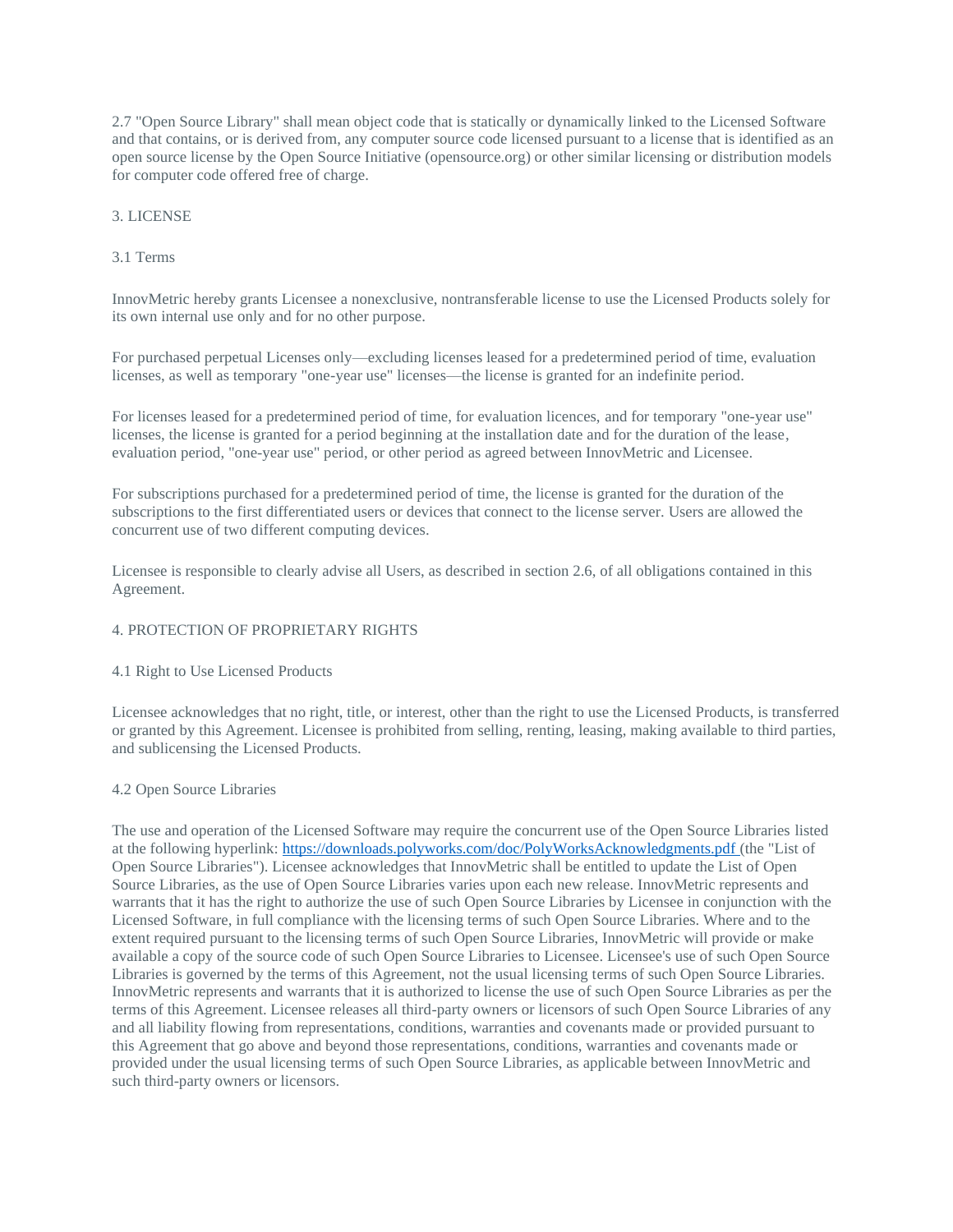2.7 "Open Source Library" shall mean object code that is statically or dynamically linked to the Licensed Software and that contains, or is derived from, any computer source code licensed pursuant to a license that is identified as an open source license by the Open Source Initiative (opensource.org) or other similar licensing or distribution models for computer code offered free of charge.

### 3. LICENSE

### 3.1 Terms

InnovMetric hereby grants Licensee a nonexclusive, nontransferable license to use the Licensed Products solely for its own internal use only and for no other purpose.

For purchased perpetual Licenses only—excluding licenses leased for a predetermined period of time, evaluation licenses, as well as temporary "one-year use" licenses—the license is granted for an indefinite period.

For licenses leased for a predetermined period of time, for evaluation licences, and for temporary "one-year use" licenses, the license is granted for a period beginning at the installation date and for the duration of the lease, evaluation period, "one-year use" period, or other period as agreed between InnovMetric and Licensee.

For subscriptions purchased for a predetermined period of time, the license is granted for the duration of the subscriptions to the first differentiated users or devices that connect to the license server. Users are allowed the concurrent use of two different computing devices.

Licensee is responsible to clearly advise all Users, as described in section 2.6, of all obligations contained in this Agreement.

## 4. PROTECTION OF PROPRIETARY RIGHTS

4.1 Right to Use Licensed Products

Licensee acknowledges that no right, title, or interest, other than the right to use the Licensed Products, is transferred or granted by this Agreement. Licensee is prohibited from selling, renting, leasing, making available to third parties, and sublicensing the Licensed Products.

### 4.2 Open Source Libraries

The use and operation of the Licensed Software may require the concurrent use of the Open Source Libraries listed at the following hyperlink: <https://downloads.polyworks.com/doc/PolyWorksAcknowledgments.pdf> (the "List of Open Source Libraries"). Licensee acknowledges that InnovMetric shall be entitled to update the List of Open Source Libraries, as the use of Open Source Libraries varies upon each new release. InnovMetric represents and warrants that it has the right to authorize the use of such Open Source Libraries by Licensee in conjunction with the Licensed Software, in full compliance with the licensing terms of such Open Source Libraries. Where and to the extent required pursuant to the licensing terms of such Open Source Libraries, InnovMetric will provide or make available a copy of the source code of such Open Source Libraries to Licensee. Licensee's use of such Open Source Libraries is governed by the terms of this Agreement, not the usual licensing terms of such Open Source Libraries. InnovMetric represents and warrants that it is authorized to license the use of such Open Source Libraries as per the terms of this Agreement. Licensee releases all third-party owners or licensors of such Open Source Libraries of any and all liability flowing from representations, conditions, warranties and covenants made or provided pursuant to this Agreement that go above and beyond those representations, conditions, warranties and covenants made or provided under the usual licensing terms of such Open Source Libraries, as applicable between InnovMetric and such third-party owners or licensors.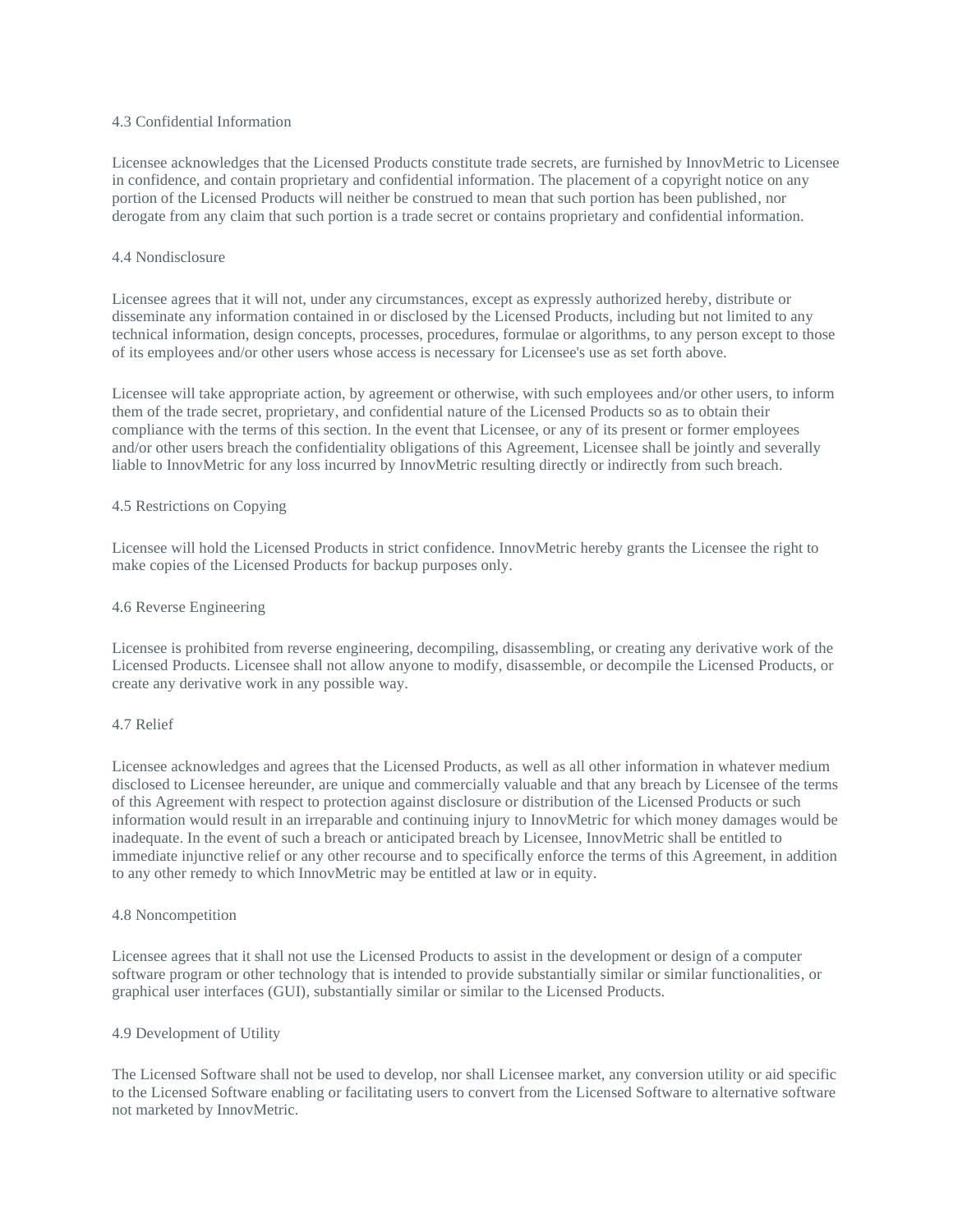### 4.3 Confidential Information

Licensee acknowledges that the Licensed Products constitute trade secrets, are furnished by InnovMetric to Licensee in confidence, and contain proprietary and confidential information. The placement of a copyright notice on any portion of the Licensed Products will neither be construed to mean that such portion has been published, nor derogate from any claim that such portion is a trade secret or contains proprietary and confidential information.

### 4.4 Nondisclosure

Licensee agrees that it will not, under any circumstances, except as expressly authorized hereby, distribute or disseminate any information contained in or disclosed by the Licensed Products, including but not limited to any technical information, design concepts, processes, procedures, formulae or algorithms, to any person except to those of its employees and/or other users whose access is necessary for Licensee's use as set forth above.

Licensee will take appropriate action, by agreement or otherwise, with such employees and/or other users, to inform them of the trade secret, proprietary, and confidential nature of the Licensed Products so as to obtain their compliance with the terms of this section. In the event that Licensee, or any of its present or former employees and/or other users breach the confidentiality obligations of this Agreement, Licensee shall be jointly and severally liable to InnovMetric for any loss incurred by InnovMetric resulting directly or indirectly from such breach.

# 4.5 Restrictions on Copying

Licensee will hold the Licensed Products in strict confidence. InnovMetric hereby grants the Licensee the right to make copies of the Licensed Products for backup purposes only.

#### 4.6 Reverse Engineering

Licensee is prohibited from reverse engineering, decompiling, disassembling, or creating any derivative work of the Licensed Products. Licensee shall not allow anyone to modify, disassemble, or decompile the Licensed Products, or create any derivative work in any possible way.

#### 4.7 Relief

Licensee acknowledges and agrees that the Licensed Products, as well as all other information in whatever medium disclosed to Licensee hereunder, are unique and commercially valuable and that any breach by Licensee of the terms of this Agreement with respect to protection against disclosure or distribution of the Licensed Products or such information would result in an irreparable and continuing injury to InnovMetric for which money damages would be inadequate. In the event of such a breach or anticipated breach by Licensee, InnovMetric shall be entitled to immediate injunctive relief or any other recourse and to specifically enforce the terms of this Agreement, in addition to any other remedy to which InnovMetric may be entitled at law or in equity.

### 4.8 Noncompetition

Licensee agrees that it shall not use the Licensed Products to assist in the development or design of a computer software program or other technology that is intended to provide substantially similar or similar functionalities, or graphical user interfaces (GUI), substantially similar or similar to the Licensed Products.

#### 4.9 Development of Utility

The Licensed Software shall not be used to develop, nor shall Licensee market, any conversion utility or aid specific to the Licensed Software enabling or facilitating users to convert from the Licensed Software to alternative software not marketed by InnovMetric.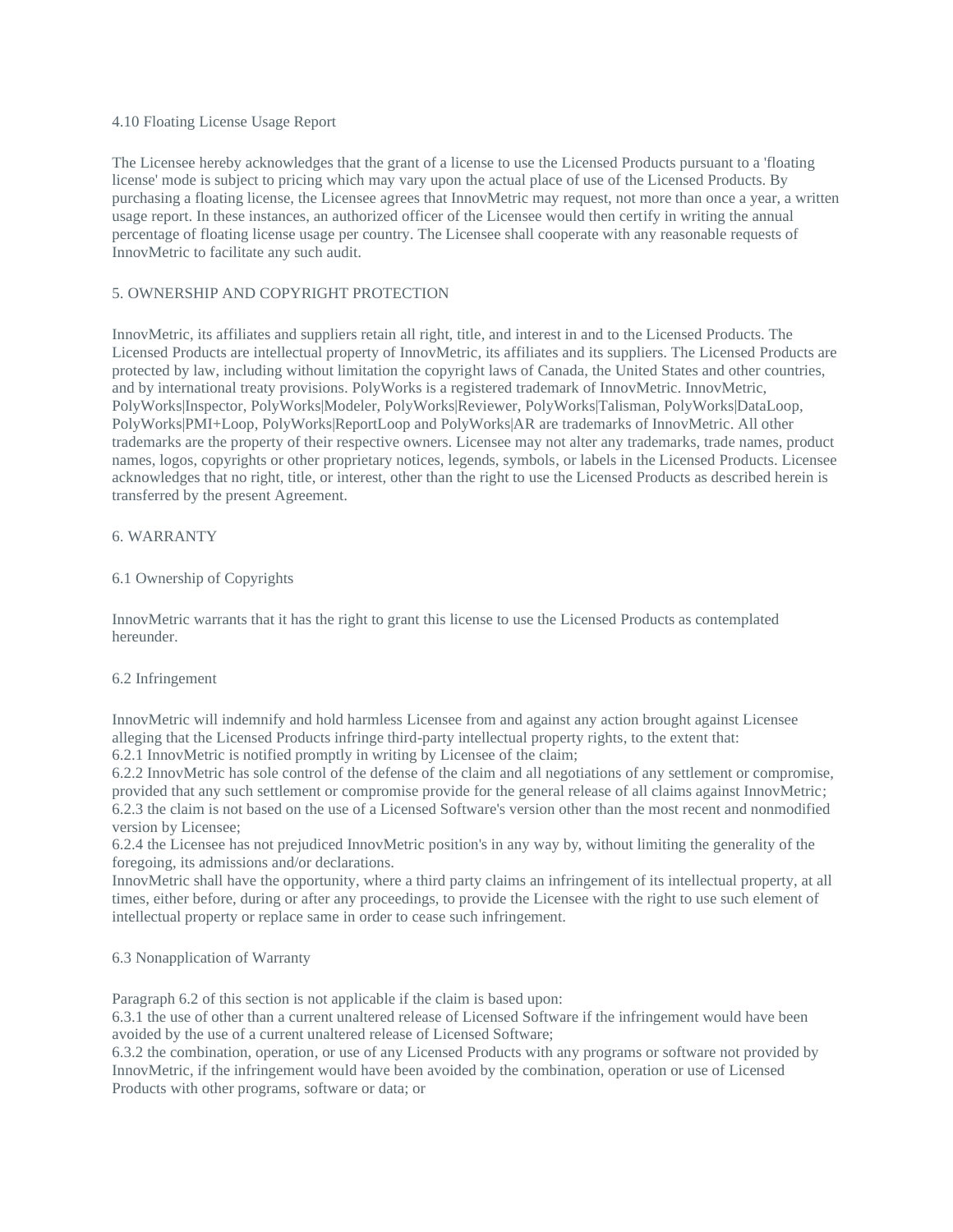### 4.10 Floating License Usage Report

The Licensee hereby acknowledges that the grant of a license to use the Licensed Products pursuant to a 'floating license' mode is subject to pricing which may vary upon the actual place of use of the Licensed Products. By purchasing a floating license, the Licensee agrees that InnovMetric may request, not more than once a year, a written usage report. In these instances, an authorized officer of the Licensee would then certify in writing the annual percentage of floating license usage per country. The Licensee shall cooperate with any reasonable requests of InnovMetric to facilitate any such audit.

# 5. OWNERSHIP AND COPYRIGHT PROTECTION

InnovMetric, its affiliates and suppliers retain all right, title, and interest in and to the Licensed Products. The Licensed Products are intellectual property of InnovMetric, its affiliates and its suppliers. The Licensed Products are protected by law, including without limitation the copyright laws of Canada, the United States and other countries, and by international treaty provisions. PolyWorks is a registered trademark of InnovMetric. InnovMetric, PolyWorks|Inspector, PolyWorks|Modeler, PolyWorks|Reviewer, PolyWorks|Talisman, PolyWorks|DataLoop, PolyWorks|PMI+Loop, PolyWorks|ReportLoop and PolyWorks|AR are trademarks of InnovMetric. All other trademarks are the property of their respective owners. Licensee may not alter any trademarks, trade names, product names, logos, copyrights or other proprietary notices, legends, symbols, or labels in the Licensed Products. Licensee acknowledges that no right, title, or interest, other than the right to use the Licensed Products as described herein is transferred by the present Agreement.

### 6. WARRANTY

### 6.1 Ownership of Copyrights

InnovMetric warrants that it has the right to grant this license to use the Licensed Products as contemplated hereunder.

### 6.2 Infringement

InnovMetric will indemnify and hold harmless Licensee from and against any action brought against Licensee alleging that the Licensed Products infringe third-party intellectual property rights, to the extent that: 6.2.1 InnovMetric is notified promptly in writing by Licensee of the claim;

6.2.2 InnovMetric has sole control of the defense of the claim and all negotiations of any settlement or compromise, provided that any such settlement or compromise provide for the general release of all claims against InnovMetric; 6.2.3 the claim is not based on the use of a Licensed Software's version other than the most recent and nonmodified version by Licensee;

6.2.4 the Licensee has not prejudiced InnovMetric position's in any way by, without limiting the generality of the foregoing, its admissions and/or declarations.

InnovMetric shall have the opportunity, where a third party claims an infringement of its intellectual property, at all times, either before, during or after any proceedings, to provide the Licensee with the right to use such element of intellectual property or replace same in order to cease such infringement.

## 6.3 Nonapplication of Warranty

Paragraph 6.2 of this section is not applicable if the claim is based upon:

6.3.1 the use of other than a current unaltered release of Licensed Software if the infringement would have been avoided by the use of a current unaltered release of Licensed Software;

6.3.2 the combination, operation, or use of any Licensed Products with any programs or software not provided by InnovMetric, if the infringement would have been avoided by the combination, operation or use of Licensed Products with other programs, software or data; or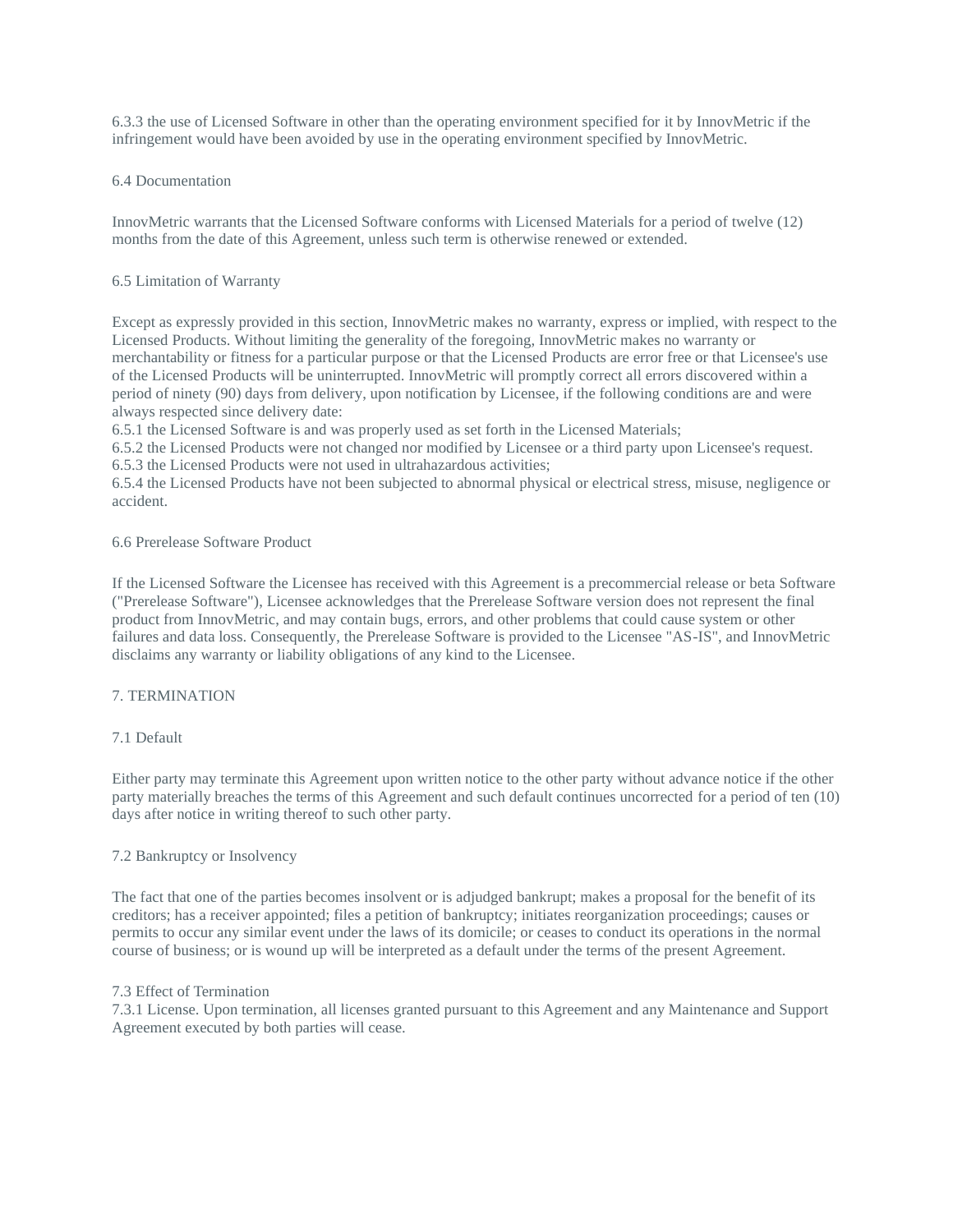6.3.3 the use of Licensed Software in other than the operating environment specified for it by InnovMetric if the infringement would have been avoided by use in the operating environment specified by InnovMetric.

### 6.4 Documentation

InnovMetric warrants that the Licensed Software conforms with Licensed Materials for a period of twelve (12) months from the date of this Agreement, unless such term is otherwise renewed or extended.

### 6.5 Limitation of Warranty

Except as expressly provided in this section, InnovMetric makes no warranty, express or implied, with respect to the Licensed Products. Without limiting the generality of the foregoing, InnovMetric makes no warranty or merchantability or fitness for a particular purpose or that the Licensed Products are error free or that Licensee's use of the Licensed Products will be uninterrupted. InnovMetric will promptly correct all errors discovered within a period of ninety (90) days from delivery, upon notification by Licensee, if the following conditions are and were always respected since delivery date:

6.5.1 the Licensed Software is and was properly used as set forth in the Licensed Materials;

6.5.2 the Licensed Products were not changed nor modified by Licensee or a third party upon Licensee's request. 6.5.3 the Licensed Products were not used in ultrahazardous activities;

6.5.4 the Licensed Products have not been subjected to abnormal physical or electrical stress, misuse, negligence or accident.

### 6.6 Prerelease Software Product

If the Licensed Software the Licensee has received with this Agreement is a precommercial release or beta Software ("Prerelease Software"), Licensee acknowledges that the Prerelease Software version does not represent the final product from InnovMetric, and may contain bugs, errors, and other problems that could cause system or other failures and data loss. Consequently, the Prerelease Software is provided to the Licensee "AS-IS", and InnovMetric disclaims any warranty or liability obligations of any kind to the Licensee.

# 7. TERMINATION

# 7.1 Default

Either party may terminate this Agreement upon written notice to the other party without advance notice if the other party materially breaches the terms of this Agreement and such default continues uncorrected for a period of ten (10) days after notice in writing thereof to such other party.

# 7.2 Bankruptcy or Insolvency

The fact that one of the parties becomes insolvent or is adjudged bankrupt; makes a proposal for the benefit of its creditors; has a receiver appointed; files a petition of bankruptcy; initiates reorganization proceedings; causes or permits to occur any similar event under the laws of its domicile; or ceases to conduct its operations in the normal course of business; or is wound up will be interpreted as a default under the terms of the present Agreement.

### 7.3 Effect of Termination

7.3.1 License. Upon termination, all licenses granted pursuant to this Agreement and any Maintenance and Support Agreement executed by both parties will cease.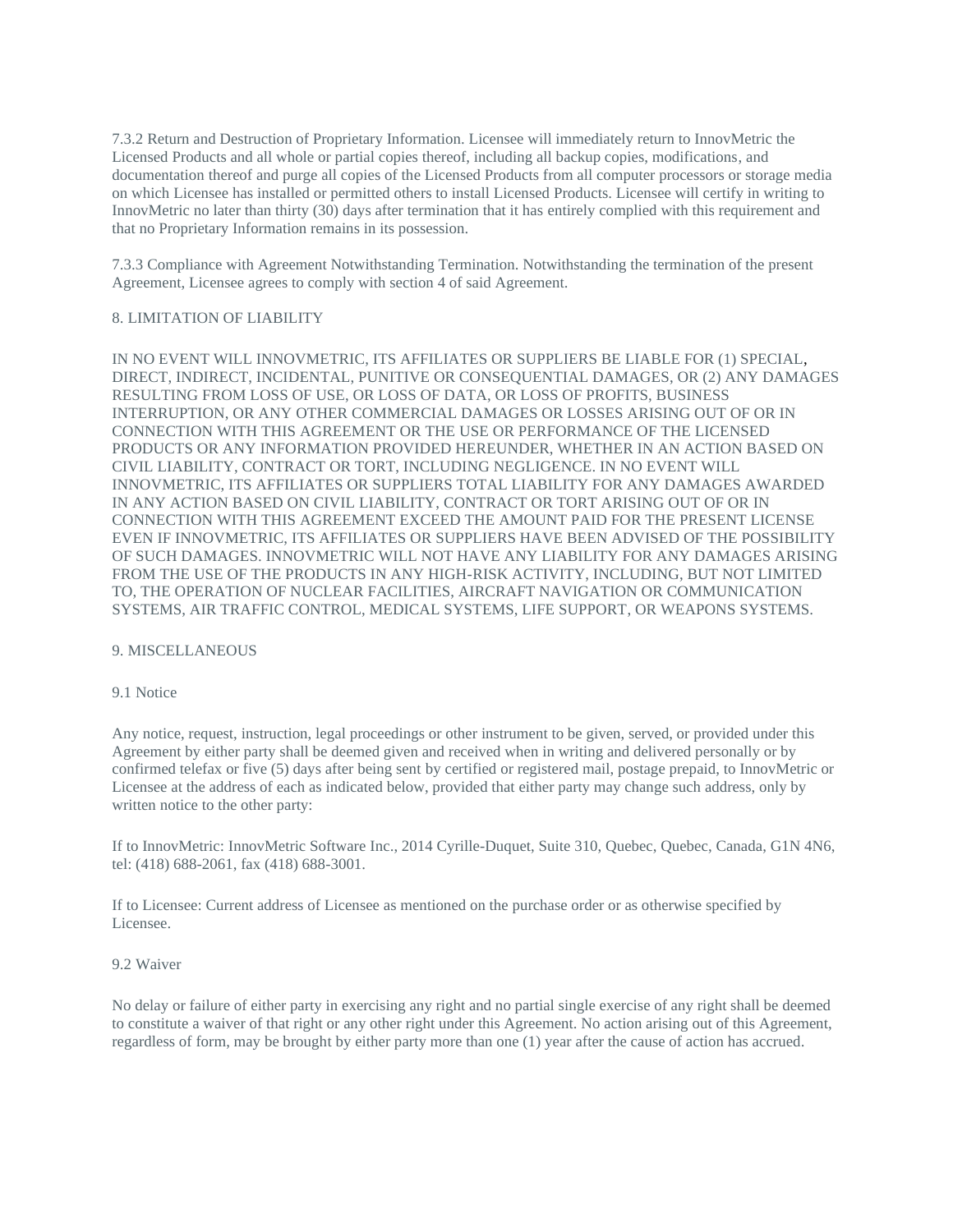7.3.2 Return and Destruction of Proprietary Information. Licensee will immediately return to InnovMetric the Licensed Products and all whole or partial copies thereof, including all backup copies, modifications, and documentation thereof and purge all copies of the Licensed Products from all computer processors or storage media on which Licensee has installed or permitted others to install Licensed Products. Licensee will certify in writing to InnovMetric no later than thirty (30) days after termination that it has entirely complied with this requirement and that no Proprietary Information remains in its possession.

7.3.3 Compliance with Agreement Notwithstanding Termination. Notwithstanding the termination of the present Agreement, Licensee agrees to comply with section 4 of said Agreement.

## 8. LIMITATION OF LIABILITY

IN NO EVENT WILL INNOVMETRIC, ITS AFFILIATES OR SUPPLIERS BE LIABLE FOR (1) SPECIAL, DIRECT, INDIRECT, INCIDENTAL, PUNITIVE OR CONSEQUENTIAL DAMAGES, OR (2) ANY DAMAGES RESULTING FROM LOSS OF USE, OR LOSS OF DATA, OR LOSS OF PROFITS, BUSINESS INTERRUPTION, OR ANY OTHER COMMERCIAL DAMAGES OR LOSSES ARISING OUT OF OR IN CONNECTION WITH THIS AGREEMENT OR THE USE OR PERFORMANCE OF THE LICENSED PRODUCTS OR ANY INFORMATION PROVIDED HEREUNDER, WHETHER IN AN ACTION BASED ON CIVIL LIABILITY, CONTRACT OR TORT, INCLUDING NEGLIGENCE. IN NO EVENT WILL INNOVMETRIC, ITS AFFILIATES OR SUPPLIERS TOTAL LIABILITY FOR ANY DAMAGES AWARDED IN ANY ACTION BASED ON CIVIL LIABILITY, CONTRACT OR TORT ARISING OUT OF OR IN CONNECTION WITH THIS AGREEMENT EXCEED THE AMOUNT PAID FOR THE PRESENT LICENSE EVEN IF INNOVMETRIC, ITS AFFILIATES OR SUPPLIERS HAVE BEEN ADVISED OF THE POSSIBILITY OF SUCH DAMAGES. INNOVMETRIC WILL NOT HAVE ANY LIABILITY FOR ANY DAMAGES ARISING FROM THE USE OF THE PRODUCTS IN ANY HIGH-RISK ACTIVITY, INCLUDING, BUT NOT LIMITED TO, THE OPERATION OF NUCLEAR FACILITIES, AIRCRAFT NAVIGATION OR COMMUNICATION SYSTEMS, AIR TRAFFIC CONTROL, MEDICAL SYSTEMS, LIFE SUPPORT, OR WEAPONS SYSTEMS.

### 9. MISCELLANEOUS

### 9.1 Notice

Any notice, request, instruction, legal proceedings or other instrument to be given, served, or provided under this Agreement by either party shall be deemed given and received when in writing and delivered personally or by confirmed telefax or five (5) days after being sent by certified or registered mail, postage prepaid, to InnovMetric or Licensee at the address of each as indicated below, provided that either party may change such address, only by written notice to the other party:

If to InnovMetric: InnovMetric Software Inc., 2014 Cyrille-Duquet, Suite 310, Quebec, Quebec, Canada, G1N 4N6, tel: (418) 688-2061, fax (418) 688-3001.

If to Licensee: Current address of Licensee as mentioned on the purchase order or as otherwise specified by Licensee.

### 9.2 Waiver

No delay or failure of either party in exercising any right and no partial single exercise of any right shall be deemed to constitute a waiver of that right or any other right under this Agreement. No action arising out of this Agreement, regardless of form, may be brought by either party more than one (1) year after the cause of action has accrued.